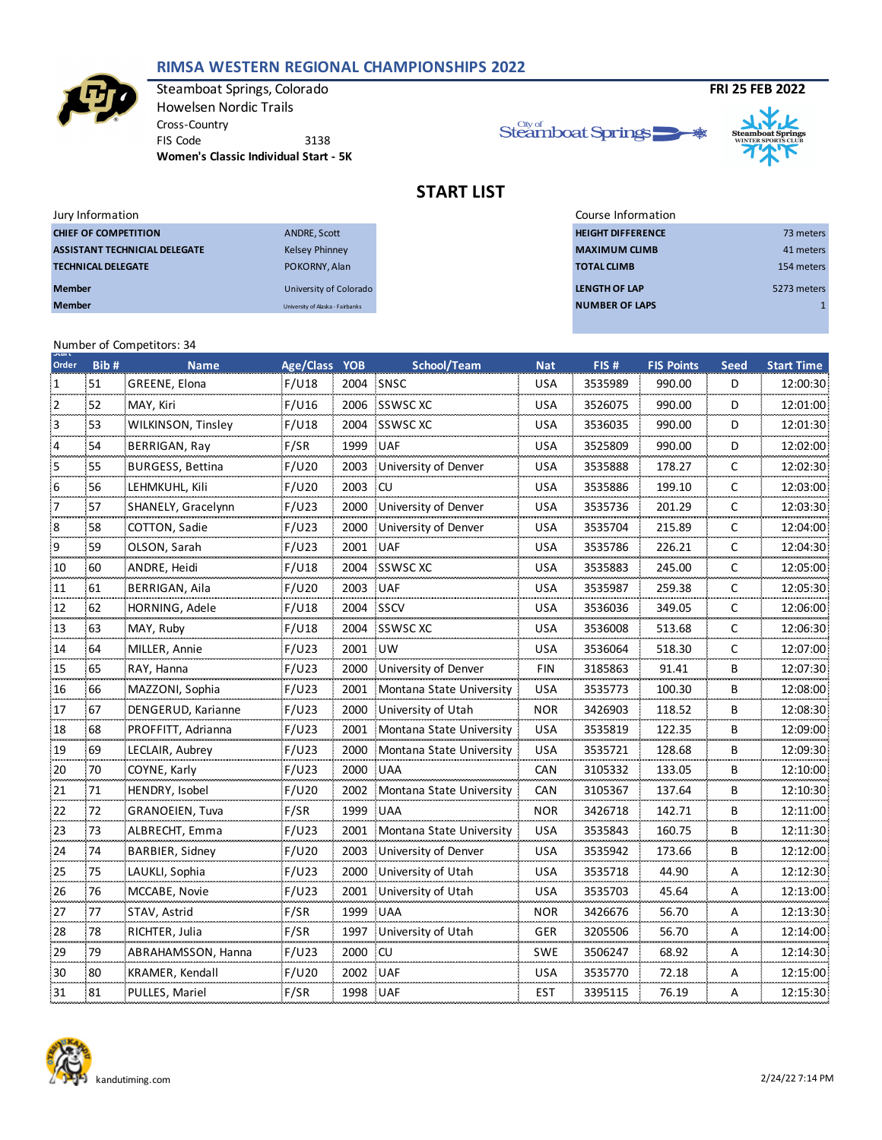#### **RIMSA WESTERN REGIONAL CHAMPIONSHIPS 2022**



Steamboat Springs, Colorado **FRI 25 FEB 2022** Howelsen Nordic Trails Cross-Country FIS Code 3138 **Women's Classic Individual Start - 5K**





# **START LIST**

| Jury Information                     |                                  | Course Information       |             |
|--------------------------------------|----------------------------------|--------------------------|-------------|
| <b>CHIEF OF COMPETITION</b>          | ANDRE, Scott                     | <b>HEIGHT DIFFERENCE</b> | 73 meters   |
| <b>ASSISTANT TECHNICIAL DELEGATE</b> | <b>Kelsey Phinney</b>            | <b>MAXIMUM CLIMB</b>     | 41 meters   |
| <b>TECHNICAL DELEGATE</b>            | POKORNY, Alan                    | <b>TOTAL CLIMB</b>       | 154 meters  |
| <b>Member</b>                        | University of Colorado           | LENGTH OF LAP            | 5273 meters |
| <b>Member</b>                        | University of Alaska - Fairbanks | <b>NUMBER OF LAPS</b>    |             |

### Number of Competitors: 34 **Start**

| Order | Bib# | <b>Name</b>               | Age/Class YOB |          | School/Team              | <b>Nat</b> | FIS#    | <b>FIS Points</b> | <b>Seed</b> | <b>Start Time</b> |
|-------|------|---------------------------|---------------|----------|--------------------------|------------|---------|-------------------|-------------|-------------------|
| 1     | 51   | GREENE, Elona             | F/U18         | 2004     | SNSC                     | <b>USA</b> | 3535989 | 990.00            | D           | 12:00:30<br>.     |
| 2     | 52   | MAY, Kiri                 | F/U16         | 2006     | SSWSC XC                 | <b>USA</b> | 3526075 | 990.00            | D           | 12:01:00          |
| 3     | 53   | <b>WILKINSON, Tinsley</b> | F/U18         | 2004     | SSWSC XC                 | <b>USA</b> | 3536035 | 990.00            | D           | 12:01:30          |
| 4     | 54   | BERRIGAN, Ray             | F/SR          | 1999     | <b>UAF</b>               | <b>USA</b> | 3525809 | 990.00            | D           | 12:02:00          |
| 5     | 55   | <b>BURGESS, Bettina</b>   | F/U20         | 2003     | University of Denver     | <b>USA</b> | 3535888 | 178.27            | C           | 12:02:30          |
| 6     | 56   | LEHMKUHL, Kili            | F/U20         | 2003     | CU                       | <b>USA</b> | 3535886 | 199.10            | C           | 12:03:00          |
| 7     | 57   | SHANELY, Gracelynn        | F/U23         | 2000     | University of Denver     | <b>USA</b> | 3535736 | 201.29            | C           | 12:03:30          |
| 8     | 58   | COTTON, Sadie             | F/U23         | 2000     | University of Denver     | USA        | 3535704 | 215.89            | C           | 12:04:00          |
| 9     | 59   | OLSON, Sarah              | F/U23         | 2001     | <b>UAF</b>               | <b>USA</b> | 3535786 | 226.21            | C           | 12:04:30          |
| 10    | 60   | ANDRE, Heidi              | F/U18         | 2004     | SSWSC XC                 | <b>USA</b> | 3535883 | 245.00            | C           | 12:05:00          |
| 11    | 61   | BERRIGAN, Aila            | F/U20         | 2003     | UAF                      | <b>USA</b> | 3535987 | 259.38            | C           | 12:05:30          |
| 12    | 62   | HORNING, Adele            | F/U18         | 2004     | <b>SSCV</b>              | <b>USA</b> | 3536036 | 349.05            | C           | 12:06:00          |
| 13    | 63   | MAY, Ruby                 | F/U18         | 2004     | SSWSC XC                 | USA        | 3536008 | 513.68            | C           | 12:06:30          |
| 14    | 64   | MILLER, Annie             | F/U23         | 2001     | UW                       | USA        | 3536064 | 518.30            | C           | 12:07:00          |
| 15    | 65   | RAY, Hanna                | F/U23         | 2000     | University of Denver     | <b>FIN</b> | 3185863 | 91.41             | B           | 12:07:30          |
| 16    | 66   | MAZZONI, Sophia           | F/U23         | 2001     | Montana State University | USA        | 3535773 | 100.30            | B           | 12:08:00          |
| 17    | 67   | DENGERUD, Karianne        | F/U23         | 2000     | University of Utah       | <b>NOR</b> | 3426903 | 118.52            | в           | 12:08:30          |
| 18    | 68   | PROFFITT, Adrianna        | F/U23         | 2001     | Montana State University | <b>USA</b> | 3535819 | 122.35            | B           | 12:09:00          |
| 19    | 69   | LECLAIR, Aubrey           | F/U23         | 2000     | Montana State University | <b>USA</b> | 3535721 | 128.68            | B           | 12:09:30          |
| 20    | 70   | COYNE, Karly              | F/U23         | 2000     | <b>UAA</b>               | <b>CAN</b> | 3105332 | 133.05            | B           | 12:10:00          |
| 21    | 71   | HENDRY, Isobel            | F/U20         | 2002     | Montana State University | <b>CAN</b> | 3105367 | 137.64            | B           | 12:10:30          |
| 22    | 72   | <b>GRANOEIEN, Tuva</b>    | F/SR          | 1999     | <b>UAA</b>               | <b>NOR</b> | 3426718 | 142.71            | B           | 12:11:00          |
| 23    | 73   | ALBRECHT, Emma            | F/U23         | 2001     | Montana State University | USA        | 3535843 | 160.75            | B           | 12:11:30          |
| 24    | 74   | BARBIER, Sidney           | F/U20         | 2003     | University of Denver     | <b>USA</b> | 3535942 | 173.66            | в           | 12:12:00          |
| 25    | 75   | LAUKLI, Sophia            | F/U23         | 2000     | University of Utah       | <b>USA</b> | 3535718 | 44.90             | A           | 12:12:30          |
| 26    | 76   | MCCABE, Novie             | F/U23         | 2001     | University of Utah       | <b>USA</b> | 3535703 | 45.64             | Α           | 12:13:00          |
| 27    | 77   | STAV, Astrid              | F/SR          | 1999     | <b>UAA</b>               | NOR        | 3426676 | 56.70             | Α           | 12:13:30          |
| 28    | 78   | RICHTER, Julia            | F/SR          | 1997     | University of Utah       | GER        | 3205506 | 56.70             | A           | 12:14:00          |
| 29    | 79   | ABRAHAMSSON, Hanna        | F/U23         | 2000     | CU                       | <b>SWE</b> | 3506247 | 68.92             | Α           | 12:14:30          |
| 30    | 80   | KRAMER, Kendall           | F/U20         | 2002     | <b>UAF</b>               | USA        | 3535770 | 72.18             | A           | 12:15:00          |
| 31    | 81   | PULLES, Mariel            | F/SR          | 1998 UAF |                          | EST        | 3395115 | 76.19             | A           | 12:15:30          |